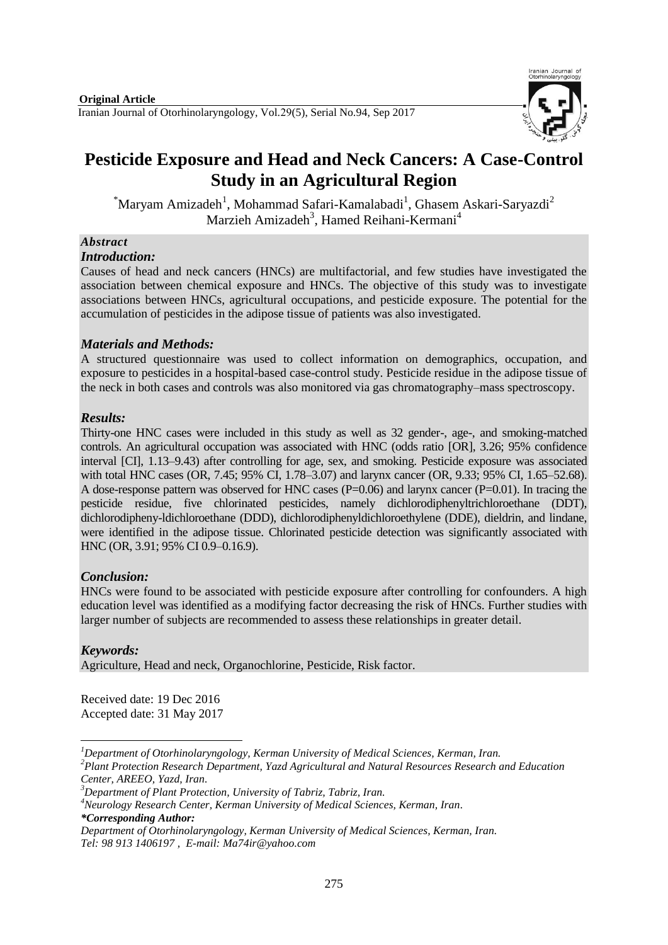

# **Pesticide Exposure and Head and Neck Cancers: A Case-Control Study in an Agricultural Region**

 ${}^{\ast}$ Maryam Amizadeh<sup>1</sup>, Mohammad Safari-Kamalabadi<sup>1</sup>, Ghasem Askari-Saryazdi<sup>2</sup> Marzieh Amizadeh<sup>3</sup>, Hamed Reihani-Kermani<sup>4</sup>

## *Abstract*

#### *Introduction:*

Causes of head and neck cancers (HNCs) are multifactorial, and few studies have investigated the association between chemical exposure and HNCs. The objective of this study was to investigate associations between HNCs, agricultural occupations, and pesticide exposure. The potential for the accumulation of pesticides in the adipose tissue of patients was also investigated.

## *Materials and Methods:*

A structured questionnaire was used to collect information on demographics, occupation, and exposure to pesticides in a hospital-based case-control study. Pesticide residue in the adipose tissue of the neck in both cases and controls was also monitored via gas chromatography–mass spectroscopy.

## *Results:*

Thirty-one HNC cases were included in this study as well as 32 gender-, age-, and smoking-matched controls. An agricultural occupation was associated with HNC (odds ratio [OR], 3.26; 95% confidence interval [CI], 1.13–9.43) after controlling for age, sex, and smoking. Pesticide exposure was associated with total HNC cases (OR, 7.45; 95% CI, 1.78–3.07) and larynx cancer (OR, 9.33; 95% CI, 1.65–52.68). A dose-response pattern was observed for HNC cases  $(P=0.06)$  and larynx cancer  $(P=0.01)$ . In tracing the pesticide residue, five chlorinated pesticides, namely dichlorodiphenyltrichloroethane (DDT), dichlorodipheny-ldichloroethane (DDD), dichlorodiphenyldichloroethylene (DDE), dieldrin, and lindane, were identified in the adipose tissue. Chlorinated pesticide detection was significantly associated with HNC (OR, 3.91; 95% CI 0.9–0.16.9).

## *Conclusion:*

HNCs were found to be associated with pesticide exposure after controlling for confounders. A high education level was identified as a modifying factor decreasing the risk of HNCs. Further studies with larger number of subjects are recommended to assess these relationships in greater detail.

## *Keywords:*

Agriculture, Head and neck, Organochlorine, Pesticide, Risk factor.

Received date: 19 Dec 2016 Accepted date: 31 May 2017

*<sup>4</sup>Neurology Research Center, Kerman University of Medical Sciences, Kerman, Iran.*

<sup>1</sup> *<sup>1</sup>Department of Otorhinolaryngology, Kerman University of Medical Sciences, Kerman, Iran.*

*<sup>2</sup>Plant Protection Research Department, Yazd Agricultural and Natural Resources Research and Education Center, AREEO, Yazd, Iran.*

*<sup>3</sup>Department of Plant Protection, University of Tabriz, Tabriz, Iran.*

*<sup>\*</sup>Corresponding Author:*

*Department of Otorhinolaryngology, Kerman University of Medical Sciences, Kerman, Iran. Tel: 98 913 1406197 , E-mail[: Ma74ir@yahoo.com](mailto:Ma74ir@yahoo.com)*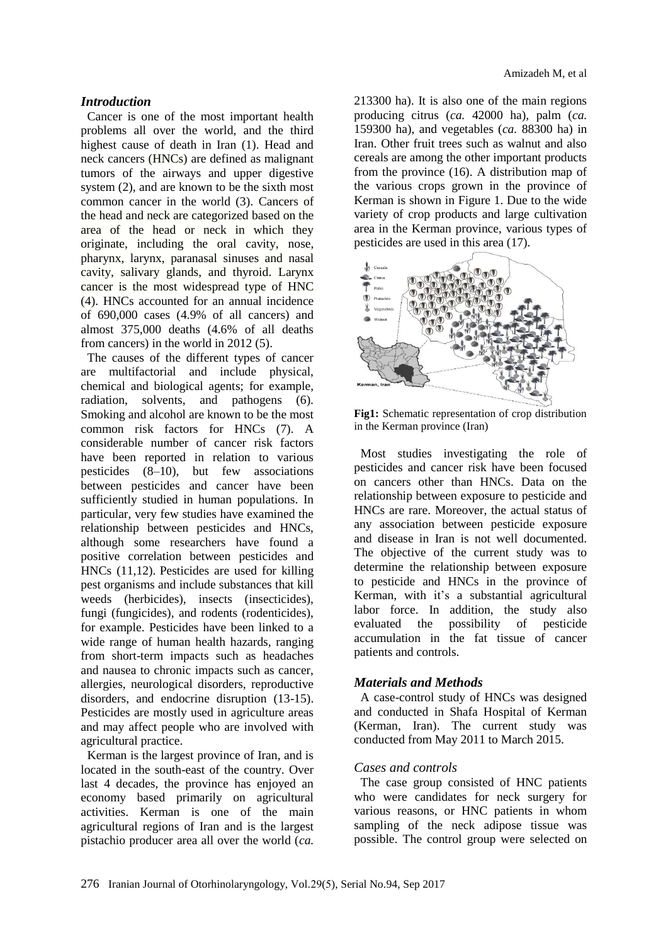#### *Introduction*

Cancer is one of the most important health problems all over the world, and the third highest cause of death in Iran (1). Head and neck cancers (HNCs) are defined as malignant tumors of the airways and upper digestive system (2), and are known to be the sixth most common cancer in the world (3). Cancers of the head and neck are categorized based on the area of the head or neck in which they originate, including the oral cavity, nose, pharynx, larynx, paranasal sinuses and nasal cavity, salivary glands, and thyroid. Larynx cancer is the most widespread type of HNC (4). HNCs accounted for an annual incidence of 690,000 cases (4.9% of all cancers) and almost 375,000 deaths (4.6% of all deaths from cancers) in the world in 2012 (5).

The causes of the different types of cancer are multifactorial and include physical, chemical and biological agents; for example, radiation, solvents, and pathogens (6). Smoking and alcohol are known to be the most common risk factors for HNCs (7). A considerable number of cancer risk factors have been reported in relation to various pesticides (8–10), but few associations between pesticides and cancer have been sufficiently studied in human populations. In particular, very few studies have examined the relationship between pesticides and HNCs, although some researchers have found a positive correlation between pesticides and HNCs (11,12). Pesticides are used for killing pest organisms and include substances that kill weeds (herbicides), insects (insecticides), fungi (fungicides), and rodents (rodenticides), for example. Pesticides have been linked to a wide range of human health hazards, ranging from short-term impacts such as headaches and nausea to chronic impacts such as cancer, allergies, neurological disorders, reproductive disorders, and endocrine disruption (13-15). Pesticides are mostly used in agriculture areas and may affect people who are involved with agricultural practice.

Kerman is the largest province of Iran, and is located in the south-east of the country. Over last 4 decades, the province has enjoyed an economy based primarily on agricultural activities. Kerman is one of the main agricultural regions of Iran and is the largest pistachio producer area all over the world (*ca.*

213300 ha). It is also one of the main regions producing citrus (*ca.* 42000 ha), palm (*ca.* 159300 ha), and vegetables (*ca.* 88300 ha) in Iran. Other fruit trees such as walnut and also cereals are among the other important products from the province (16). A distribution map of the various crops grown in the province of Kerman is shown in Figure 1. Due to the wide variety of crop products and large cultivation area in the Kerman province, various types of pesticides are used in this area (17).



**Fig1:** Schematic representation of crop distribution in the Kerman province (Iran)

Most studies investigating the role of pesticides and cancer risk have been focused on cancers other than HNCs. Data on the relationship between exposure to pesticide and HNCs are rare. Moreover, the actual status of any association between pesticide exposure and disease in Iran is not well documented. The objective of the current study was to determine the relationship between exposure to pesticide and HNCs in the province of Kerman, with it's a substantial agricultural labor force. In addition, the study also evaluated the possibility of pesticide accumulation in the fat tissue of cancer patients and controls.

#### *Materials and Methods*

A case-control study of HNCs was designed and conducted in Shafa Hospital of Kerman (Kerman, Iran). The current study was conducted from May 2011 to March 2015.

#### *Cases and controls*

The case group consisted of HNC patients who were candidates for neck surgery for various reasons, or HNC patients in whom sampling of the neck adipose tissue was possible. The control group were selected on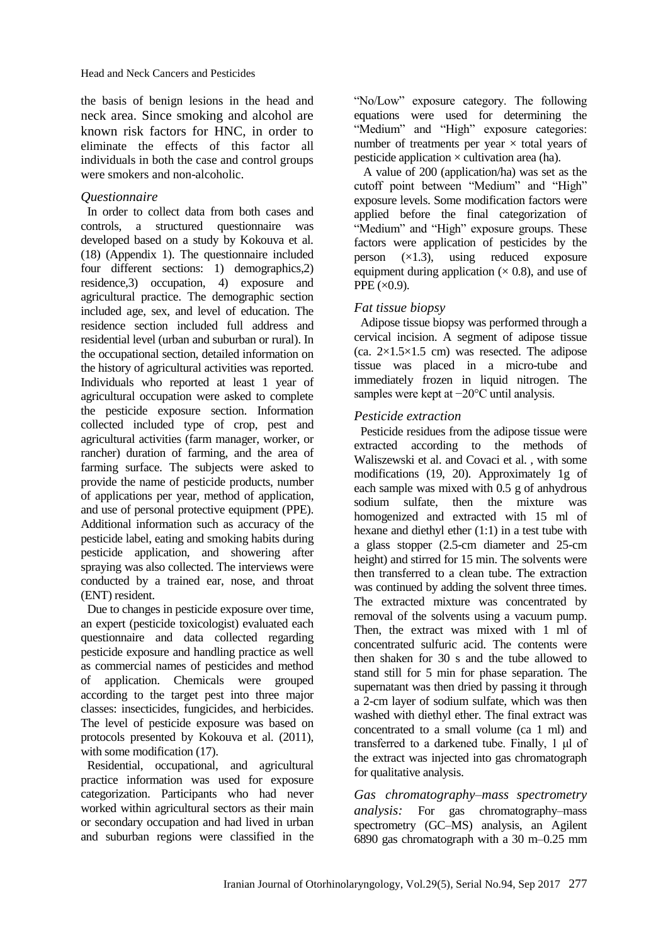the basis of benign lesions in the head and neck area. Since smoking and alcohol are known risk factors for HNC, in order to eliminate the effects of this factor all individuals in both the case and control groups were smokers and non-alcoholic.

#### *Questionnaire*

In order to collect data from both cases and controls, a structured questionnaire was developed based on a study by Kokouva et al. (18) (Appendix 1). The questionnaire included four different sections: 1) demographics,2) residence,3) occupation, 4) exposure and agricultural practice. The demographic section included age, sex, and level of education. The residence section included full address and residential level (urban and suburban or rural). In the occupational section, detailed information on the history of agricultural activities was reported. Individuals who reported at least 1 year of agricultural occupation were asked to complete the pesticide exposure section. Information collected included type of crop, pest and agricultural activities (farm manager, worker, or rancher) duration of farming, and the area of farming surface. The subjects were asked to provide the name of pesticide products, number of applications per year, method of application, and use of personal protective equipment (PPE). Additional information such as accuracy of the pesticide label, eating and smoking habits during pesticide application, and showering after spraying was also collected. The interviews were conducted by a trained ear, nose, and throat (ENT) resident.

Due to changes in pesticide exposure over time, an expert (pesticide toxicologist) evaluated each questionnaire and data collected regarding pesticide exposure and handling practice as well as commercial names of pesticides and method of application. Chemicals were grouped according to the target pest into three major classes: insecticides, fungicides, and herbicides. The level of pesticide exposure was based on protocols presented by Kokouva et al. (2011), with some modification  $(17)$ .

Residential, occupational, and agricultural practice information was used for exposure categorization. Participants who had never worked within agricultural sectors as their main or secondary occupation and had lived in urban and suburban regions were classified in the "No/Low" exposure category. The following equations were used for determining the "Medium" and "High" exposure categories: number of treatments per year  $\times$  total years of pesticide application  $\times$  cultivation area (ha).

A value of 200 (application/ha) was set as the cutoff point between "Medium" and "High" exposure levels. Some modification factors were applied before the final categorization of "Medium" and "High" exposure groups. These factors were application of pesticides by the person  $(x1.3)$ , using reduced exposure equipment during application ( $\times$  0.8), and use of PPE  $(\times 0.9)$ .

## *Fat tissue biopsy*

Adipose tissue biopsy was performed through a cervical incision. A segment of adipose tissue (ca.  $2\times1.5\times1.5$  cm) was resected. The adipose tissue was placed in a micro-tube and immediately frozen in liquid nitrogen. The samples were kept at −20°C until analysis.

## *Pesticide extraction*

Pesticide residues from the adipose tissue were extracted according to the methods of Waliszewski et al. and Covaci et al. , with some modifications (19, 20). Approximately 1g of each sample was mixed with 0.5 g of anhydrous sodium sulfate, then the mixture was homogenized and extracted with 15 ml of hexane and diethyl ether (1:1) in a test tube with a glass stopper (2.5-cm diameter and 25-cm height) and stirred for 15 min. The solvents were then transferred to a clean tube. The extraction was continued by adding the solvent three times. The extracted mixture was concentrated by removal of the solvents using a vacuum pump. Then, the extract was mixed with 1 ml of concentrated sulfuric acid. The contents were then shaken for 30 s and the tube allowed to stand still for 5 min for phase separation. The supernatant was then dried by passing it through a 2-cm layer of sodium sulfate, which was then washed with diethyl ether. The final extract was concentrated to a small volume (ca 1 ml) and transferred to a darkened tube. Finally, 1 μl of the extract was injected into gas chromatograph for qualitative analysis.

*Gas chromatography–mass spectrometry analysis:* For gas chromatography–mass spectrometry (GC–MS) analysis, an Agilent 6890 gas chromatograph with a 30 m–0.25 mm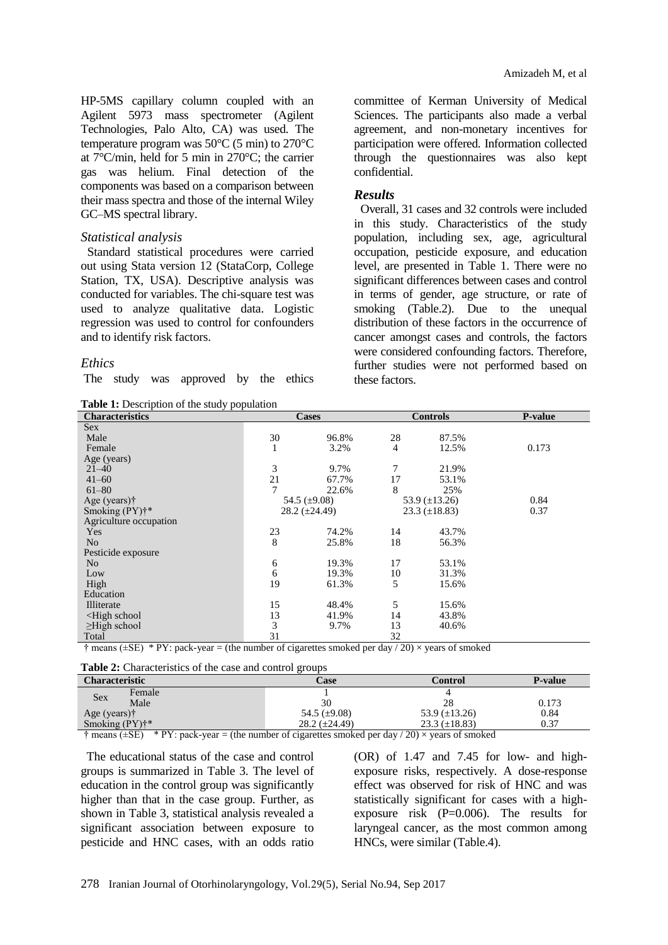HP-5MS capillary column coupled with an Agilent 5973 mass spectrometer (Agilent Technologies, Palo Alto, CA) was used. The temperature program was 50°C (5 min) to 270°C at 7°C/min, held for 5 min in 270°C; the carrier gas was helium. Final detection of the components was based on a comparison between their mass spectra and those of the internal Wiley GC–MS spectral library.

#### *Statistical analysis*

Standard statistical procedures were carried out using Stata version 12 (StataCorp, College Station, TX, USA). Descriptive analysis was conducted for variables. The chi-square test was used to analyze qualitative data. Logistic regression was used to control for confounders and to identify risk factors.

#### *Ethics*

The study was approved by the ethics

**Table 1:** Description of the study population

committee of Kerman University of Medical Sciences. The participants also made a verbal agreement, and non-monetary incentives for participation were offered. Information collected through the questionnaires was also kept confidential.

#### *Results*

Overall, 31 cases and 32 controls were included in this study. Characteristics of the study population, including sex, age, agricultural occupation, pesticide exposure, and education level, are presented in Table 1. There were no significant differences between cases and control in terms of gender, age structure, or rate of smoking (Table.2). Due to the unequal distribution of these factors in the occurrence of cancer amongst cases and controls, the factors were considered confounding factors. Therefore, further studies were not performed based on these factors.

| <b>Tuble 1:</b> Description of the state, population<br><b>Characteristics</b>            |    | <b>Cases</b>         |    | <b>Controls</b>      | <b>P-value</b> |
|-------------------------------------------------------------------------------------------|----|----------------------|----|----------------------|----------------|
| <b>Sex</b>                                                                                |    |                      |    |                      |                |
| Male                                                                                      | 30 | 96.8%                | 28 | 87.5%                |                |
| Female                                                                                    | 1  | 3.2%                 | 4  | 12.5%                | 0.173          |
| Age (years)                                                                               |    |                      |    |                      |                |
| $21 - 40$                                                                                 | 3  | 9.7%                 | 7  | 21.9%                |                |
| $41 - 60$                                                                                 | 21 | 67.7%                | 17 | 53.1%                |                |
| $61 - 80$                                                                                 | 7  | 22.6%                | 8  | 25%                  |                |
| Age (years) $\dagger$                                                                     |    | 54.5 $(\pm 9.08)$    |    | 53.9 $(\pm 13.26)$   | 0.84           |
| Smoking $(PY)^{**}$                                                                       |    | $28.2 \ (\pm 24.49)$ |    | $23.3 \ (\pm 18.83)$ | 0.37           |
| Agriculture occupation                                                                    |    |                      |    |                      |                |
| Yes                                                                                       | 23 | 74.2%                | 14 | 43.7%                |                |
| N <sub>o</sub>                                                                            | 8  | 25.8%                | 18 | 56.3%                |                |
| Pesticide exposure                                                                        |    |                      |    |                      |                |
| N <sub>o</sub>                                                                            | 6  | 19.3%                | 17 | 53.1%                |                |
| Low                                                                                       | 6  | 19.3%                | 10 | 31.3%                |                |
| High                                                                                      | 19 | 61.3%                | 5  | 15.6%                |                |
| Education                                                                                 |    |                      |    |                      |                |
| Illiterate                                                                                | 15 | 48.4%                | 5  | 15.6%                |                |
| <high school<="" td=""><td>13</td><td>41.9%</td><td>14</td><td>43.8%</td><td></td></high> | 13 | 41.9%                | 14 | 43.8%                |                |
| $\geq$ High school                                                                        | 3  | 9.7%                 | 13 | 40.6%                |                |
| Total                                                                                     | 31 |                      | 32 |                      |                |

 $\dagger$  means ( $\pm$ SE)  $*$  PY: pack-year = (the number of cigarettes smoked per day / 20)  $\times$  years of smoked

**Table 2:** Characteristics of the case and control groups

| <b>Characteristic</b>                                                                                                                         | Case                 | Control              | <b>P-value</b> |  |  |  |
|-----------------------------------------------------------------------------------------------------------------------------------------------|----------------------|----------------------|----------------|--|--|--|
| Female<br>Sex                                                                                                                                 |                      |                      |                |  |  |  |
| Male                                                                                                                                          | 30                   | 28                   | 0.173          |  |  |  |
| Age (years) $\dagger$                                                                                                                         | 54.5 $(\pm 9.08)$    | 53.9 $(\pm 13.26)$   | 0.84           |  |  |  |
| Smoking $(PY)$ <sup>**</sup>                                                                                                                  | $28.2 \ (\pm 24.49)$ | $23.3 \ (\pm 18.83)$ | 0.37           |  |  |  |
| $\pm$ $\ldots$ $\ldots$ $\pm$ $\cdots$ $\Box$<br>$\star$ DV, and, i.e., (the multiple of departure coordination dec (90) corrected from the d |                      |                      |                |  |  |  |

 $\dagger$  means ( $\pm$ SE) \* PY: pack-year = (the number of cigarettes smoked per day / 20)  $\times$  years of smoked

 The educational status of the case and control groups is summarized in Table 3. The level of education in the control group was significantly higher than that in the case group. Further, as shown in Table 3, statistical analysis revealed a significant association between exposure to pesticide and HNC cases, with an odds ratio

(OR) of 1.47 and 7.45 for low- and highexposure risks, respectively. A dose-response effect was observed for risk of HNC and was statistically significant for cases with a highexposure risk  $(P=0.006)$ . The results for laryngeal cancer, as the most common among HNCs, were similar (Table.4).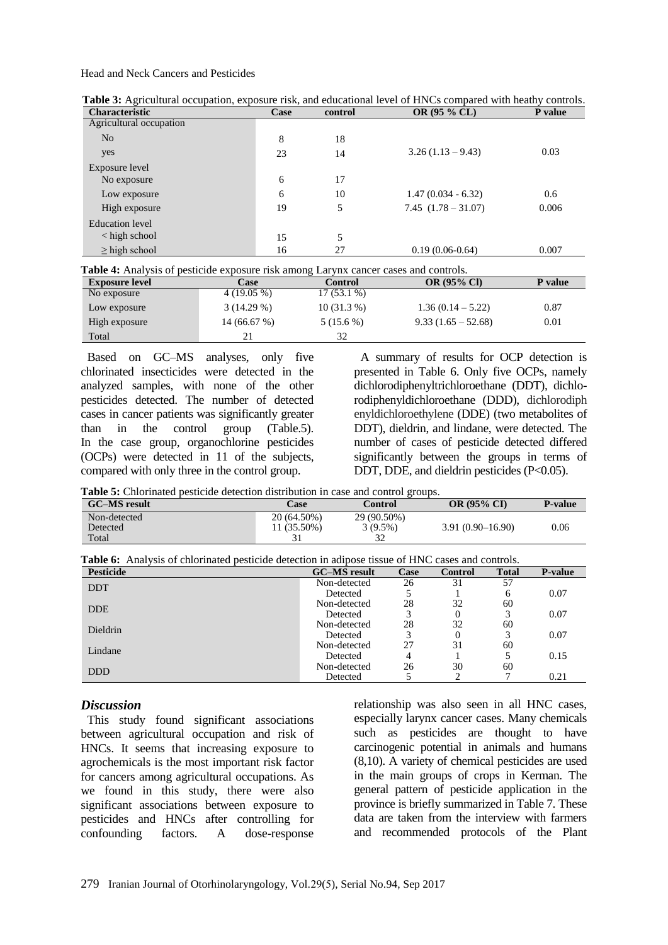Head and Neck Cancers and Pesticides

| <b>Characteristic</b>   | Case | control | <b>OR (95 % CL)</b>     | P value |
|-------------------------|------|---------|-------------------------|---------|
| Agricultural occupation |      |         |                         |         |
| N <sub>o</sub>          | 8    | 18      |                         |         |
| yes                     | 23   | 14      | $3.26(1.13 - 9.43)$     | 0.03    |
| Exposure level          |      |         |                         |         |
| No exposure             | 6    | 17      |                         |         |
| Low exposure            | 6    | 10      | $1.47(0.034 - 6.32)$    | 0.6     |
| High exposure           | 19   | 5       | $7.45$ $(1.78 - 31.07)$ | 0.006   |
| Education level         |      |         |                         |         |
| < high school           | 15   | 5       |                         |         |
| $\geq$ high school      | 16   | 27      | $0.19(0.06-0.64)$       | 0.007   |
|                         |      |         |                         |         |

**Table 3:** Agricultural occupation, exposure risk, and educational level of HNCs compared with heathy controls.

| <b>Exposure level</b> | Case         | Control      | <b>OR (95% CI)</b>   | P value |
|-----------------------|--------------|--------------|----------------------|---------|
| No exposure           | $4(19.05\%)$ | $17(53.1\%)$ |                      |         |
| Low exposure          | $3(14.29\%)$ | $10(31.3\%)$ | $1.36(0.14-5.22)$    | 0.87    |
| High exposure         | 14 (66.67 %) | $5(15.6\%)$  | $9.33(1.65 - 52.68)$ | 0.01    |
| Total                 | 21           | 32           |                      |         |

Based on GC–MS analyses, only five chlorinated insecticides were detected in the analyzed samples, with none of the other pesticides detected. The number of detected cases in cancer patients was significantly greater than in the control group (Table.5). In the case group, organochlorine pesticides (OCPs) were detected in 11 of the subjects, compared with only three in the control group.

A summary of results for OCP detection is presented in Table 6. Only five OCPs, namely dichlorodiphenyltrichloroethane (DDT), dichlorodiphenyldichloroethane (DDD), dichlorodiph enyldichloroethylene (DDE) (two metabolites of DDT), dieldrin, and lindane, were detected. The number of cases of pesticide detected differed significantly between the groups in terms of DDT, DDE, and dieldrin pesticides (P<0.05).

**Table 5:** Chlorinated pesticide detection distribution in case and control groups.

| <b>GC-MS</b> result | Case        | Control     | <b>OR (95% CI)</b>   | <b>P-value</b> |
|---------------------|-------------|-------------|----------------------|----------------|
| Non-detected        | 20 (64.50%) | 29 (90.50%) |                      |                |
| Detected            | 11 (35.50%) | $3(9.5\%)$  | $3.91(0.90 - 16.90)$ | 0.06           |
| Total               |             | 32          |                      |                |

| <b>Table 6:</b> Analysis of chlorinated pesticide detection in adipose tissue of HNC cases and controls. |                     |      |                |              |                |  |  |
|----------------------------------------------------------------------------------------------------------|---------------------|------|----------------|--------------|----------------|--|--|
| <b>Pesticide</b>                                                                                         | <b>GC–MS</b> result | Case | <b>Control</b> | <b>Total</b> | <b>P-value</b> |  |  |
| <b>DDT</b>                                                                                               | Non-detected        | 26   | 31             | 57           |                |  |  |
|                                                                                                          | Detected            |      |                | h.           | 0.07           |  |  |
| <b>DDE</b>                                                                                               | Non-detected        | 28   | 32             | 60           |                |  |  |
|                                                                                                          | Detected            |      |                |              | 0.07           |  |  |
| <b>Dieldrin</b>                                                                                          | Non-detected        | 28   | 32             | 60           |                |  |  |
|                                                                                                          | Detected            |      |                |              | 0.07           |  |  |
| Lindane                                                                                                  | Non-detected        | 27   | 31             | 60           |                |  |  |
|                                                                                                          | Detected            | 4    |                |              | 0.15           |  |  |
| <b>DDD</b>                                                                                               | Non-detected        | 26   | 30             | 60           |                |  |  |
|                                                                                                          | Detected            |      |                |              | 0.21           |  |  |

#### *Discussion*

This study found significant associations between agricultural occupation and risk of HNCs. It seems that increasing exposure to agrochemicals is the most important risk factor for cancers among agricultural occupations. As we found in this study, there were also significant associations between exposure to pesticides and HNCs after controlling for confounding factors. A dose-response

relationship was also seen in all HNC cases, especially larynx cancer cases. Many chemicals such as pesticides are thought to have carcinogenic potential in animals and humans (8,10). A variety of chemical pesticides are used in the main groups of crops in Kerman. The general pattern of pesticide application in the province is briefly summarized in Table 7. These data are taken from the interview with farmers and recommended protocols of the Plant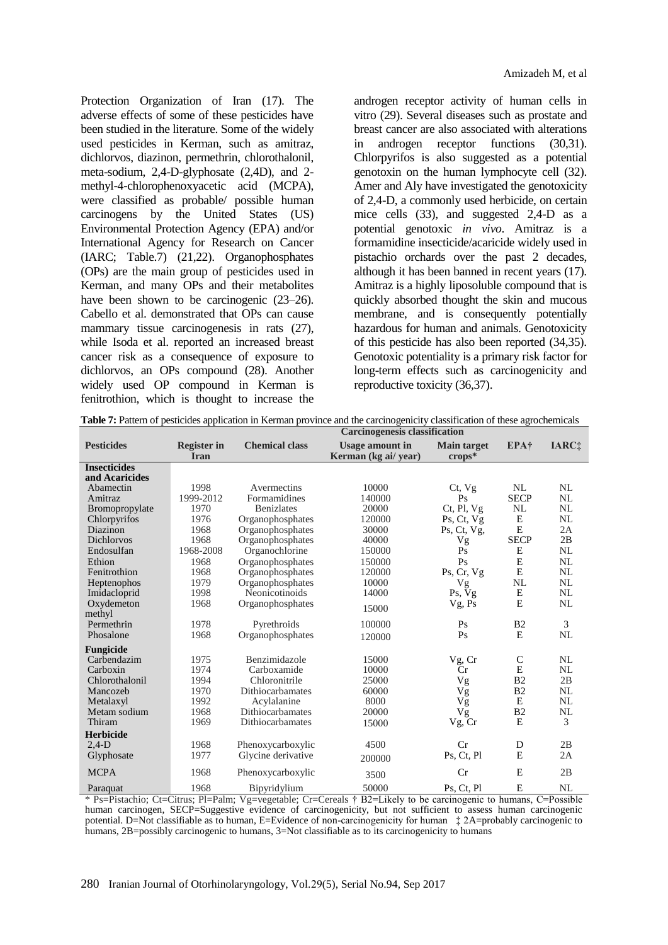Protection Organization of Iran (17). The adverse effects of some of these pesticides have been studied in the literature. Some of the widely used pesticides in Kerman, such as amitraz, dichlorvos, diazinon, permethrin, chlorothalonil, meta-sodium, 2,4-D-glyphosate (2,4D), and 2 methyl-4-chlorophenoxyacetic acid (MCPA), were classified as probable/ possible human carcinogens by the United States (US) Environmental Protection Agency (EPA) and/or International Agency for Research on Cancer (IARC; Table.7) (21,22). Organophosphates (OPs) are the main group of pesticides used in Kerman, and many OPs and their metabolites have been shown to be carcinogenic  $(23-26)$ . Cabello et al. demonstrated that OPs can cause mammary tissue carcinogenesis in rats  $(27)$ , while Isoda et al. reported an increased breast cancer risk as a consequence of exposure to dichlorvos, an OPs compound (28). Another widely used OP compound in Kerman is fenitrothion, which is thought to increase the

androgen receptor activity of human cells in vitro (29). Several diseases such as prostate and breast cancer are also associated with alterations in androgen receptor functions (30,31). Chlorpyrifos is also suggested as a potential genotoxin on the human lymphocyte cell (32). Amer and Aly have investigated the genotoxicity of 2,4-D, a commonly used herbicide, on certain mice cells (33), and suggested 2,4-D as a potential genotoxic *in vivo*. Amitraz is a formamidine insecticide/acaricide widely used in pistachio orchards over the past 2 decades, although it has been banned in recent years (17). Amitraz is a highly liposoluble compound that is quickly absorbed thought the skin and mucous membrane, and is consequently potentially hazardous for human and animals. Genotoxicity of this pesticide has also been reported (34,35). Genotoxic potentiality is a primary risk factor for long-term effects such as carcinogenicity and reproductive toxicity (36,37).

|                                       | <b>Carcinogenesis classification</b> |                       |                                                |                                |                |                          |
|---------------------------------------|--------------------------------------|-----------------------|------------------------------------------------|--------------------------------|----------------|--------------------------|
| <b>Pesticides</b>                     | <b>Register in</b><br><b>Iran</b>    | <b>Chemical class</b> | <b>Usage amount in</b><br>Kerman (kg ai/ year) | <b>Main target</b><br>$crops*$ | <b>EPA</b> †   | <b>IARC</b> <sub>‡</sub> |
| <b>Insecticides</b><br>and Acaricides |                                      |                       |                                                |                                |                |                          |
| Abamectin                             | 1998                                 | Avermectins           | 10000                                          | Ct, Vg                         | NL             | NL                       |
| Amitraz                               | 1999-2012                            | Formamidines          | 140000                                         | Ps                             | <b>SECP</b>    | NL                       |
| Bromopropylate                        | 1970                                 | <b>Benizlates</b>     | 20000                                          | $Ct$ , Pl, $Vg$                | NL             | NL                       |
| Chlorpyrifos                          | 1976                                 | Organophosphates      | 120000                                         | Ps, Ct, Vg                     | E              | NL                       |
| Diazinon                              | 1968                                 | Organophosphates      | 30000                                          | $Ps$ , Ct, Vg,                 | E              | 2A                       |
| <b>Dichlorvos</b>                     | 1968                                 | Organophosphates      | 40000                                          | Vg                             | <b>SECP</b>    | 2B                       |
| Endosulfan                            | 1968-2008                            | Organochlorine        | 150000                                         | Ps                             | Е              | NL                       |
| Ethion                                | 1968                                 | Organophosphates      | 150000                                         | Ps                             | E              | NL                       |
| Fenitrothion                          | 1968                                 | Organophosphates      | 120000                                         | Ps, Cr, Vg                     | E              | NL                       |
| Heptenophos                           | 1979                                 | Organophosphates      | 10000                                          | Vg                             | <b>NL</b>      | NL                       |
| Imidacloprid                          | 1998                                 | Neonicotinoids        | 14000                                          | Ps, Vg                         | Е              | NL                       |
| Oxydemeton                            | 1968                                 | Organophosphates      |                                                | Vg, Ps                         | E              | NL                       |
| methyl                                |                                      |                       | 15000                                          |                                |                |                          |
| Permethrin                            | 1978                                 | Pyrethroids           | 100000                                         | Ps                             | B <sub>2</sub> | 3                        |
| Phosalone                             | 1968                                 | Organophosphates      | 120000                                         | Ps                             | E              | NL                       |
| Fungicide                             |                                      |                       |                                                |                                |                |                          |
| Carbendazim                           | 1975                                 | Benzimidazole         | 15000                                          | Vg, Cr                         | $\mathsf{C}$   | NL                       |
| Carboxin                              | 1974                                 | Carboxamide           | 10000                                          | Cr                             | E              | NL                       |
| Chlorothalonil                        | 1994                                 | Chloronitrile         | 25000                                          | Vg                             | B <sub>2</sub> | 2B                       |
| Mancozeb                              | 1970                                 | Dithiocarbamates      | 60000                                          | Vg                             | B <sub>2</sub> | NL                       |
| Metalaxyl                             | 1992                                 | Acylalanine           | 8000                                           | Vg                             | E              | NL                       |
| Metam sodium                          | 1968                                 | Dithiocarbamates      | 20000                                          | Vg                             | B <sub>2</sub> | NL                       |
| Thiram                                | 1969                                 | Dithiocarbamates      | 15000                                          | Vg, Cr                         | E              | 3                        |
| <b>Herbicide</b>                      |                                      |                       |                                                |                                |                |                          |
| $2,4-D$                               | 1968                                 | Phenoxycarboxylic     | 4500                                           | Cr                             | D              | 2B                       |
| Glyphosate                            | 1977                                 | Glycine derivative    | 200000                                         | Ps, Ct, Pl                     | E              | 2A                       |
| <b>MCPA</b>                           | 1968                                 | Phenoxycarboxylic     | 3500                                           | Cr                             | E              | 2B                       |
| Paraquat                              | 1968                                 | Bipyridylium          | 50000                                          | Ps. Ct. Pl                     | E              | NL                       |

**Table 7:** Pattern of pesticides application in Kerman province and the carcinogenicity classification of these agrochemicals

\* Ps=Pistachio; Ct=Citrus; Pl=Palm; Vg=vegetable; Cr=Cereals † B2=Likely to be carcinogenic to humans, C=Possible human carcinogen, SECP=Suggestive evidence of carcinogenicity, but not sufficient to assess human carcinogenic potential. D=Not classifiable as to human, E=Evidence of non-carcinogenicity for human ‡ 2A=probably carcinogenic to humans, 2B=possibly carcinogenic to humans, 3=Not classifiable as to its carcinogenicity to humans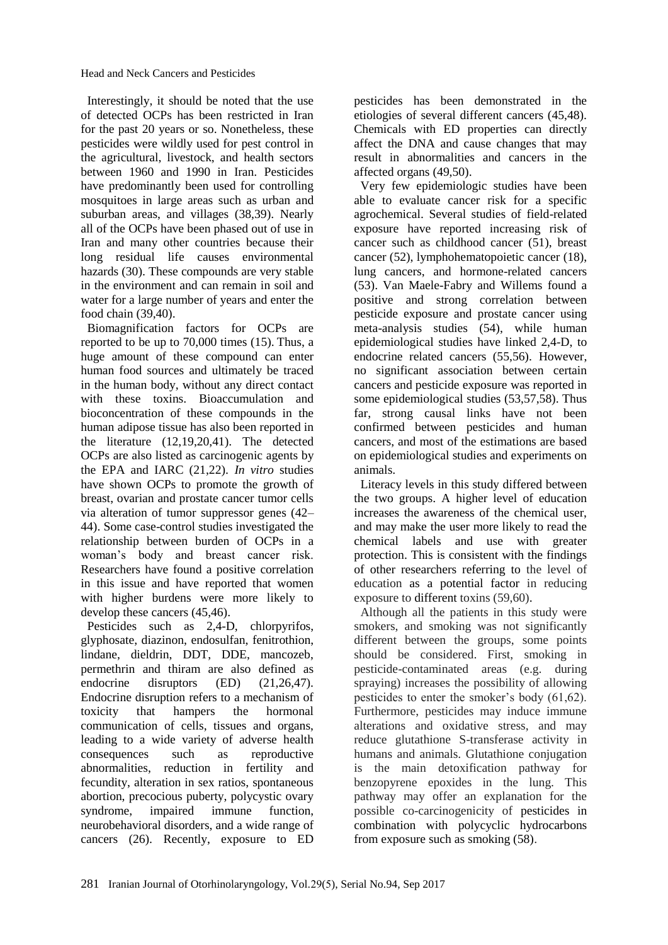Interestingly, it should be noted that the use of detected OCPs has been restricted in Iran for the past 20 years or so. Nonetheless, these pesticides were wildly used for pest control in the agricultural, livestock, and health sectors between 1960 and 1990 in Iran. Pesticides have predominantly been used for controlling mosquitoes in large areas such as urban and suburban areas, and villages (38,39). Nearly all of the OCPs have been phased out of use in Iran and many other countries because their long residual life causes environmental hazards (30). These compounds are very stable in the environment and can remain in soil and water for a large number of years and enter the food chain (39,40).

Biomagnification factors for OCPs are reported to be up to 70,000 times (15). Thus, a huge amount of these compound can enter human food sources and ultimately be traced in the human body, without any direct contact with these toxins. Bioaccumulation and bioconcentration of these compounds in the human adipose tissue has also been reported in the literature (12,19,20,41). The detected OCPs are also listed as carcinogenic agents by the EPA and IARC (21,22). *In vitro* studies have shown OCPs to promote the growth of breast, ovarian and prostate cancer tumor cells via alteration of tumor suppressor genes (42– 44). Some case-control studies investigated the relationship between burden of OCPs in a woman's body and breast cancer risk. Researchers have found a positive correlation in this issue and have reported that women with higher burdens were more likely to develop these cancers (45,46).

Pesticides such as 2,4-D, chlorpyrifos, glyphosate, diazinon, endosulfan, fenitrothion, lindane, dieldrin, DDT, DDE, mancozeb, permethrin and thiram are also defined as endocrine disruptors (ED) (21,26,47). Endocrine disruption refers to a mechanism of toxicity that hampers the hormonal communication of cells, tissues and organs, leading to a wide variety of adverse health consequences such as reproductive abnormalities, reduction in fertility and fecundity, alteration in sex ratios, spontaneous abortion, precocious puberty, polycystic ovary syndrome, impaired immune function, neurobehavioral disorders, and a wide range of cancers (26). Recently, exposure to ED

pesticides has been demonstrated in the etiologies of several different cancers (45,48). Chemicals with ED properties can directly affect the DNA and cause changes that may result in abnormalities and cancers in the affected organs (49,50).

Very few epidemiologic studies have been able to evaluate cancer risk for a specific agrochemical. Several studies of field-related exposure have reported increasing risk of cancer such as childhood cancer (51), breast cancer (52), lymphohematopoietic cancer (18), lung cancers, and hormone-related cancers (53). Van Maele-Fabry and Willems found a positive and strong correlation between pesticide exposure and prostate cancer using meta-analysis studies (54), while human epidemiological studies have linked 2,4-D, to endocrine related cancers (55,56). However, no significant association between certain cancers and pesticide exposure was reported in some epidemiological studies (53,57,58). Thus far, strong causal links have not been confirmed between pesticides and human cancers, and most of the estimations are based on epidemiological studies and experiments on animals.

Literacy levels in this study differed between the two groups. A higher level of education increases the awareness of the chemical user, and may make the user more likely to read the chemical labels and use with greater protection. This is consistent with the findings of other researchers referring to the level of education as a potential factor in reducing exposure to different toxins (59,60).

Although all the patients in this study were smokers, and smoking was not significantly different between the groups, some points should be considered. First, smoking in pesticide-contaminated areas (e.g. during spraying) increases the possibility of allowing pesticides to enter the smoker's body (61,62). Furthermore, pesticides may induce immune alterations and oxidative stress, and may reduce glutathione S-transferase activity in humans and animals. Glutathione conjugation is the main detoxification pathway for benzopyrene epoxides in the lung. This pathway may offer an explanation for the possible co-carcinogenicity of pesticides in combination with polycyclic hydrocarbons from exposure such as smoking (58).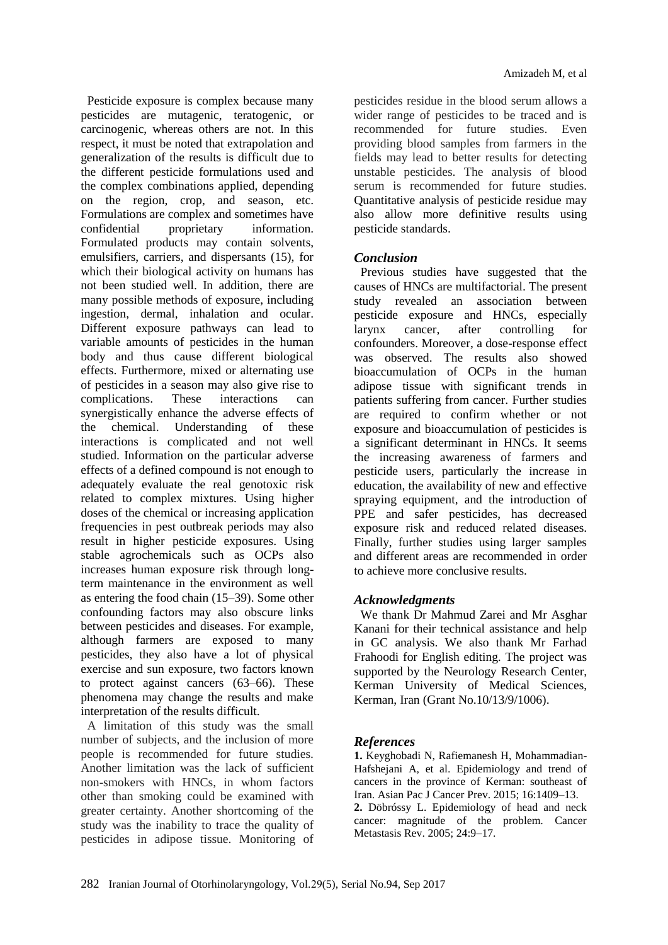Pesticide exposure is complex because many pesticides are mutagenic, teratogenic, or carcinogenic, whereas others are not. In this respect, it must be noted that extrapolation and generalization of the results is difficult due to the different pesticide formulations used and the complex combinations applied, depending on the region, crop, and season, etc. Formulations are complex and sometimes have confidential proprietary information. Formulated products may contain solvents, emulsifiers, carriers, and dispersants (15), for which their biological activity on humans has not been studied well. In addition, there are many possible methods of exposure, including ingestion, dermal, inhalation and ocular. Different exposure pathways can lead to variable amounts of pesticides in the human body and thus cause different biological effects. Furthermore, mixed or alternating use of pesticides in a season may also give rise to complications. These interactions can synergistically enhance the adverse effects of the chemical. Understanding of these interactions is complicated and not well studied. Information on the particular adverse effects of a defined compound is not enough to adequately evaluate the real genotoxic risk related to complex mixtures. Using higher doses of the chemical or increasing application frequencies in pest outbreak periods may also result in higher pesticide exposures. Using stable agrochemicals such as OCPs also increases human exposure risk through longterm maintenance in the environment as well as entering the food chain (15–39). Some other confounding factors may also obscure links between pesticides and diseases. For example, although farmers are exposed to many pesticides, they also have a lot of physical exercise and sun exposure, two factors known to protect against cancers (63–66). These phenomena may change the results and make interpretation of the results difficult.

A limitation of this study was the small number of subjects, and the inclusion of more people is recommended for future studies. Another limitation was the lack of sufficient non-smokers with HNCs, in whom factors other than smoking could be examined with greater certainty. Another shortcoming of the study was the inability to trace the quality of pesticides in adipose tissue. Monitoring of pesticides residue in the blood serum allows a wider range of pesticides to be traced and is recommended for future studies. Even providing blood samples from farmers in the fields may lead to better results for detecting unstable pesticides. The analysis of blood serum is recommended for future studies. Quantitative analysis of pesticide residue may also allow more definitive results using pesticide standards.

## *Conclusion*

Previous studies have suggested that the causes of HNCs are multifactorial. The present study revealed an association between pesticide exposure and HNCs, especially larynx cancer, after controlling for confounders. Moreover, a dose-response effect was observed. The results also showed bioaccumulation of OCPs in the human adipose tissue with significant trends in patients suffering from cancer. Further studies are required to confirm whether or not exposure and bioaccumulation of pesticides is a significant determinant in HNCs. It seems the increasing awareness of farmers and pesticide users, particularly the increase in education, the availability of new and effective spraying equipment, and the introduction of PPE and safer pesticides, has decreased exposure risk and reduced related diseases. Finally, further studies using larger samples and different areas are recommended in order to achieve more conclusive results.

## *Acknowledgments*

We thank Dr Mahmud Zarei and Mr Asghar Kanani for their technical assistance and help in GC analysis. We also thank Mr Farhad Frahoodi for English editing. The project was supported by the Neurology Research Center, Kerman University of Medical Sciences, Kerman, Iran (Grant No.10/13/9/1006).

## *References*

**1.** Keyghobadi N, Rafiemanesh H, Mohammadian-Hafshejani A, et al. Epidemiology and trend of cancers in the province of Kerman: southeast of Iran. Asian Pac J Cancer Prev. 2015; 16:1409–13. **2.** Döbróssy L. Epidemiology of head and neck cancer: magnitude of the problem. Cancer Metastasis Rev. 2005; 24:9–17.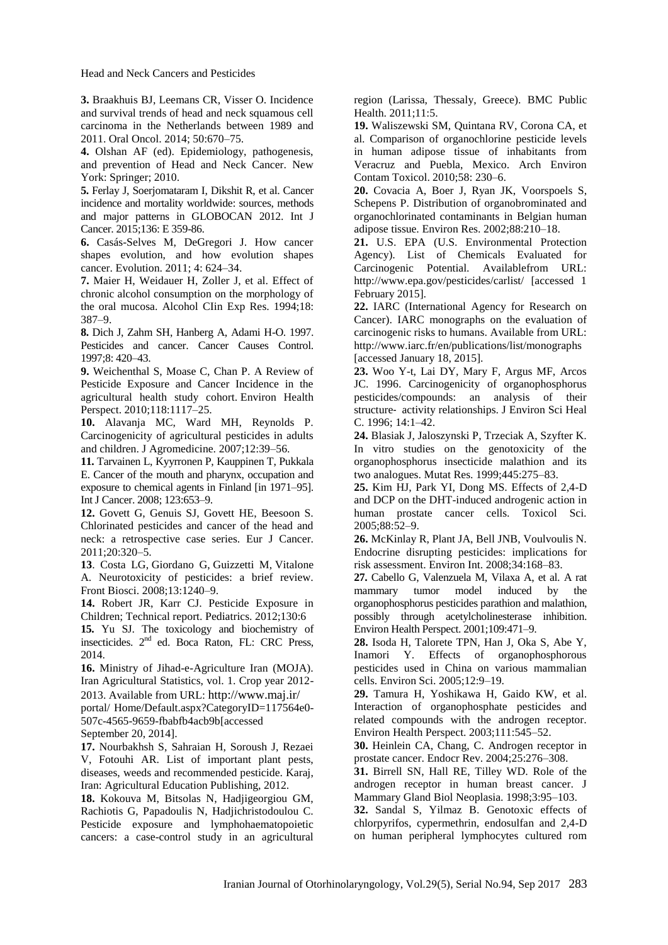Head and Neck Cancers and Pesticides

**3.** Braakhuis BJ, Leemans CR, Visser O. Incidence and survival trends of head and neck squamous cell carcinoma in the Netherlands between 1989 and 2011. Oral Oncol. 2014; 50:670–75.

**4.** Olshan AF (ed). Epidemiology, pathogenesis, and prevention of Head and Neck Cancer. New York: Springer; 2010.

**5.** Ferlay J, Soerjomataram I, Dikshit R, et al. Cancer incidence and mortality worldwide: sources, methods and major patterns in GLOBOCAN 2012. Int J Cancer. 2015;136: E 359-86.

**6.** Casás-Selves M, DeGregori J. How cancer shapes evolution, and how evolution shapes cancer. Evolution. 2011; 4: 624–34.

**7.** Maier H, Weidauer H, Zoller J, et al. Effect of chronic alcohol consumption on the morphology of the oral mucosa. Alcohol CIin Exp Res. 1994;18: 387–9.

**8.** Dich J, Zahm SH, Hanberg A, Adami H-O. 1997. Pesticides and cancer. Cancer Causes Control. 1997;8: 420–43.

**9.** Weichenthal S, Moase C, Chan P. A Review of Pesticide Exposure and Cancer Incidence in the agricultural health study cohort. Environ Health Perspect. 2010;118:1117–25.

**10.** Alavanja MC, Ward MH, Reynolds P. Carcinogenicity of agricultural pesticides in adults and children. J Agromedicine. 2007;12:39–56.

**11.** Tarvainen L, Kyyrronen P, Kauppinen T, Pukkala E. Cancer of the mouth and pharynx, occupation and exposure to chemical agents in Finland [in 1971–95]. Int J Cancer. 2008; 123:653–9.

**12.** Govett G, Genuis SJ, Govett HE, Beesoon S. Chlorinated pesticides and cancer of the head and neck: a retrospective case series. Eur J Cancer. 2011;20:320–5.

**13**. [Costa LG,](http://www.ncbi.nlm.nih.gov/pubmed/?term=Costa%20LG%5BAuthor%5D&cauthor=true&cauthor_uid=17981626) [Giordano G,](http://www.ncbi.nlm.nih.gov/pubmed/?term=Giordano%20G%5BAuthor%5D&cauthor=true&cauthor_uid=17981626) [Guizzetti M,](http://www.ncbi.nlm.nih.gov/pubmed/?term=Guizzetti%20M%5BAuthor%5D&cauthor=true&cauthor_uid=17981626) [Vitalone](http://www.ncbi.nlm.nih.gov/pubmed/?term=Vitalone%20A%5BAuthor%5D&cauthor=true&cauthor_uid=17981626)  [A.](http://www.ncbi.nlm.nih.gov/pubmed/?term=Vitalone%20A%5BAuthor%5D&cauthor=true&cauthor_uid=17981626) Neurotoxicity of pesticides: a brief review. [Front Biosci.](http://www.ncbi.nlm.nih.gov/pubmed/17981626) 2008;13:1240–9.

**14.** Robert JR, Karr CJ. Pesticide Exposure in Children; Technical report. Pediatrics. 2012;130:6

**15.** Yu SJ. The toxicology and biochemistry of insecticides. 2nd ed. Boca Raton, FL: CRC Press, 2014.

**16.** Ministry of Jihad-e-Agriculture Iran (MOJA). Iran Agricultural Statistics, vol. 1. Crop year 2012- 2013. Available from URL: <http://www.maj.ir/>

portal/ Home/Default.aspx?CategoryID=117564e0- 507c-4565-9659-fbabfb4acb9b[accessed

September 20, 2014].

**17.** Nourbakhsh S, Sahraian H, Soroush J, Rezaei V, Fotouhi AR. List of important plant pests, diseases, weeds and recommended pesticide. Karaj, Iran: Agricultural Education Publishing, 2012.

**18.** Kokouva M, Bitsolas N, Hadjigeorgiou GM, Rachiotis G, Papadoulis N, Hadjichristodoulou C. Pesticide exposure and lymphohaematopoietic cancers: a case-control study in an agricultural region (Larissa, Thessaly, Greece). BMC Public Health. 2011;11:5.

**19.** Waliszewski SM, Quintana RV, Corona CA, et al. Comparison of organochlorine pesticide levels in human adipose tissue of inhabitants from Veracruz and Puebla, Mexico. Arch Environ Contam Toxicol. 2010;58: 230–6.

**20.** Covacia A, Boer J, Ryan JK, Voorspoels S, Schepens P. Distribution of organobrominated and organochlorinated contaminants in Belgian human adipose tissue. [Environ Res.](http://www.apnet.com/www/journal/er.htm) 2002;88:210–18.

**21.** U.S. EPA (U.S. Environmental Protection Agency). List of Chemicals Evaluated for Carcinogenic Potential. Availablefrom URL: http://www.epa.gov/pesticides/carlist/ [accessed 1 February 2015].

**22.** IARC (International Agency for Research on Cancer). IARC monographs on the evaluation of carcinogenic risks to humans. Available from URL: http://www.iarc.fr/en/publications/list/monographs [accessed January 18, 2015].

**23.** Woo Y-t, Lai DY, Mary F, Argus MF, Arcos JC. 1996. Carcinogenicity of organophosphorus pesticides/compounds: an analysis of their structure‐ activity relationships. J Environ Sci Heal C. 1996; 14:1–42.

**24.** Blasiak J, Jaloszynski P, Trzeciak A, Szyfter K. In vitro studies on the genotoxicity of the organophosphorus insecticide malathion and its two analogues. Mutat Res. 1999;445:275–83.

**25.** Kim HJ, Park YI, Dong MS. Effects of 2,4-D and DCP on the DHT-induced androgenic action in human prostate cancer cells. Toxicol Sci. 2005;88:52–9.

**26.** McKinlay R, Plant JA, Bell JNB, Voulvoulis N. Endocrine disrupting pesticides: implications for risk assessment. Environ Int. 2008;34:168–83.

**27.** Cabello G, Valenzuela M, Vilaxa A, et al. A rat mammary tumor model induced by the organophosphorus pesticides parathion and malathion, possibly through acetylcholinesterase inhibition. Environ Health Perspect. 2001;109:471–9.

**28.** Isoda H, Talorete TPN, Han J, Oka S, Abe Y, Inamori Y. Effects of organophosphorous pesticides used in China on various mammalian cells. Environ Sci. 2005;12:9–19.

**29.** Tamura H, Yoshikawa H, Gaido KW, et al. Interaction of organophosphate pesticides and related compounds with the androgen receptor. Environ Health Perspect. 2003;111:545–52.

**30.** Heinlein CA, Chang, C. Androgen receptor in prostate cancer. Endocr Rev. 2004;25:276–308.

**31.** Birrell SN, Hall RE, Tilley WD. Role of the androgen receptor in human breast cancer. J Mammary Gland Biol Neoplasia. 1998;3:95–103.

**32.** Sandal S, Yilmaz B. Genotoxic effects of chlorpyrifos, cypermethrin, endosulfan and 2,4-D on human peripheral lymphocytes cultured rom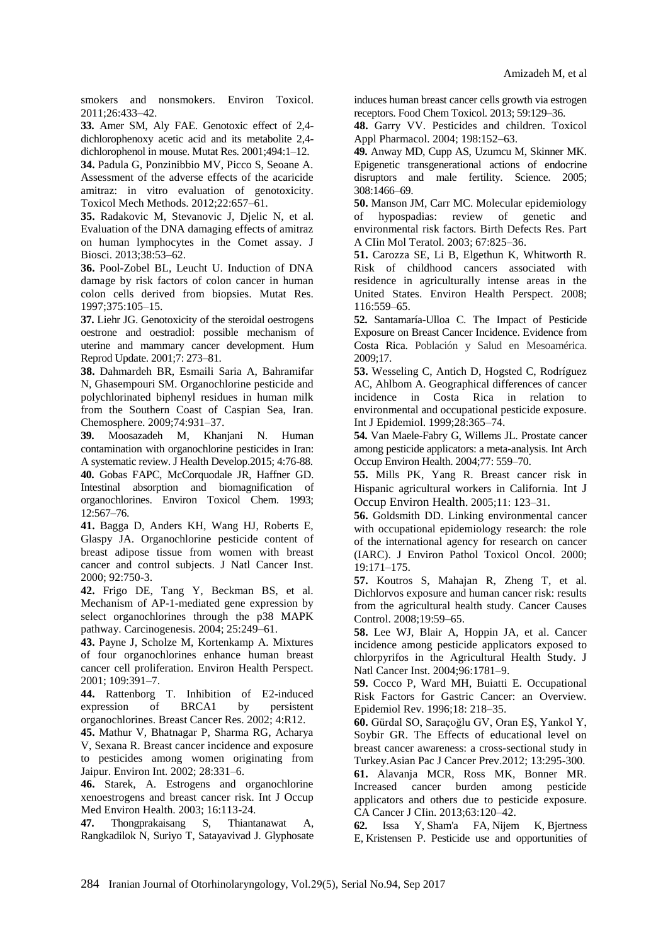smokers and nonsmokers. Environ Toxicol. 2011;26:433–42.

**33.** Amer SM, Aly FAE. Genotoxic effect of 2,4 dichlorophenoxy acetic acid and its metabolite 2,4 dichlorophenol in mouse. Mutat Res. 2001;494:1–12.

**34.** Padula G, Ponzinibbio MV, Picco S, Seoane A. Assessment of the adverse effects of the acaricide amitraz: in vitro evaluation of genotoxicity. Toxicol Mech Methods. 2012;22:657–61.

**35.** Radakovic M, Stevanovic J, Djelic N, et al. Evaluation of the DNA damaging effects of amitraz on human lymphocytes in the Comet assay. J Biosci. 2013;38:53–62.

**36.** Pool-Zobel BL, Leucht U. Induction of DNA damage by risk factors of colon cancer in human colon cells derived from biopsies. Mutat Res. 1997;375:105–15.

**37.** Liehr JG. Genotoxicity of the steroidal oestrogens oestrone and oestradiol: possible mechanism of uterine and mammary cancer development. Hum Reprod Update. 2001;7: 273–81.

**38.** Dahmardeh BR, Esmaili Saria A, Bahramifar N, Ghasempouri SM. Organochlorine pesticide and polychlorinated biphenyl residues in human milk from the Southern Coast of Caspian Sea, Iran. Chemosphere. 2009;74:931–37.

**39.** Moosazadeh M, Khanjani N. Human contamination with organochlorine pesticides in Iran: A systematic review. J Health Develop.2015; 4:76-88. **40.** Gobas FAPC, McCorquodale JR, Haffner GD. Intestinal absorption and biomagnification of organochlorines. Environ Toxicol Chem. 1993; 12:567–76.

**41.** Bagga D, Anders KH, Wang HJ, Roberts E, Glaspy JA. Organochlorine pesticide content of breast adipose tissue from women with breast cancer and control subjects. J Natl Cancer Inst. 2000; 92:750-3.

**42.** Frigo DE, Tang Y, Beckman BS, et al. Mechanism of AP-1-mediated gene expression by select organochlorines through the p38 MAPK pathway. Carcinogenesis. 2004; 25:249–61.

**43.** Payne J, Scholze M, Kortenkamp A. Mixtures of four organochlorines enhance human breast cancer cell proliferation. Environ Health Perspect. 2001; 109:391–7.

**44.** Rattenborg T. Inhibition of E2-induced expression of BRCA1 by persistent organochlorines. Breast Cancer Res. 2002; 4:R12.

**45.** Mathur V, Bhatnagar P, Sharma RG, Acharya V, Sexana R. Breast cancer incidence and exposure to pesticides among women originating from Jaipur. Environ Int. 2002; 28:331–6.

**46.** Starek, A. Estrogens and organochlorine xenoestrogens and breast cancer risk. Int J Occup Med Environ Health. 2003; 16:113-24.

**47.** Thongprakaisang S, Thiantanawat A, Rangkadilok N, Suriyo T, Satayavivad J. Glyphosate induces human breast cancer cells growth via estrogen receptors. Food Chem Toxicol. 2013; 59:129–36.

**48.** Garry VV. Pesticides and children. Toxicol Appl Pharmacol. 2004; 198:152–63.

**49.** Anway MD, Cupp AS, Uzumcu M, Skinner MK. Epigenetic transgenerational actions of endocrine disruptors and male fertility. Science. 2005; 308:1466–69.

**50.** Manson JM, Carr MC. Molecular epidemiology of hypospadias: review of genetic and environmental risk factors. Birth Defects Res. Part A CIin Mol Teratol. 2003; 67:825–36.

**51.** Carozza SE, Li B, Elgethun K, Whitworth R. Risk of childhood cancers associated with residence in agriculturally intense areas in the United States. Environ Health Perspect. 2008; 116:559–65.

**52.** Santamaría-Ulloa C. The Impact of Pesticide Exposure on Breast Cancer Incidence. Evidence from Costa Rica. Población y Salud en Mesoamérica. 2009;17.

**53.** Wesseling C, Antich D, Hogsted C, Rodríguez AC, Ahlbom A. Geographical differences of cancer incidence in Costa Rica in relation to environmental and occupational pesticide exposure. Int J Epidemiol. 1999;28:365–74.

**54.** Van Maele-Fabry G, Willems JL. Prostate cancer among pesticide applicators: a meta-analysis. Int Arch Occup Environ Health. 2004;77: 559–70.

**55.** Mills PK, Yang R. Breast cancer risk in Hispanic agricultural workers in California. [Int J](http://www.ncbi.nlm.nih.gov/pubmed/15875887)  [Occup Environ Health.](http://www.ncbi.nlm.nih.gov/pubmed/15875887) 2005;11: 123–31.

**56.** Goldsmith DD. Linking environmental cancer with occupational epidemiology research: the role of the international agency for research on cancer (IARC). J Environ Pathol Toxicol Oncol. 2000; 19:171–175.

**57.** Koutros S, Mahajan R, Zheng T, et al. Dichlorvos exposure and human cancer risk: results from the agricultural health study. Cancer Causes Control. 2008;19:59–65.

**58.** Lee WJ, Blair A, Hoppin JA, et al. Cancer incidence among pesticide applicators exposed to chlorpyrifos in the Agricultural Health Study. J Natl Cancer Inst. 2004;96:1781–9.

**59.** Cocco P, Ward MH, Buiatti E. Occupational Risk Factors for Gastric Cancer: an Overview. Epidemiol Rev. 1996;18: 218–35.

**60.** Gürdal SO, Saraçoğlu GV, Oran EŞ, Yankol Y, Soybir GR. The Effects of educational level on breast cancer awareness: a cross-sectional study in Turkey.Asian Pac J Cancer Prev.2012; 13:295-300.

**61.** Alavanja MCR, Ross MK, Bonner MR. Increased cancer burden among pesticide applicators and others due to pesticide exposure. CA Cancer J CIin. 2013;63:120–42.

**62.** [Issa Y,](http://www.ncbi.nlm.nih.gov/pubmed/?term=Issa%20Y%5BAuthor%5D&cauthor=true&cauthor_uid=20959000) [Sham'a FA,](http://www.ncbi.nlm.nih.gov/pubmed/?term=Sham%27a%20FA%5BAuthor%5D&cauthor=true&cauthor_uid=20959000) [Nijem K,](http://www.ncbi.nlm.nih.gov/pubmed/?term=Nijem%20K%5BAuthor%5D&cauthor=true&cauthor_uid=20959000) [Bjertness](http://www.ncbi.nlm.nih.gov/pubmed/?term=Bjertness%20E%5BAuthor%5D&cauthor=true&cauthor_uid=20959000)  [E,](http://www.ncbi.nlm.nih.gov/pubmed/?term=Bjertness%20E%5BAuthor%5D&cauthor=true&cauthor_uid=20959000) [Kristensen P.](http://www.ncbi.nlm.nih.gov/pubmed/?term=Kristensen%20P%5BAuthor%5D&cauthor=true&cauthor_uid=20959000) Pesticide use and opportunities of